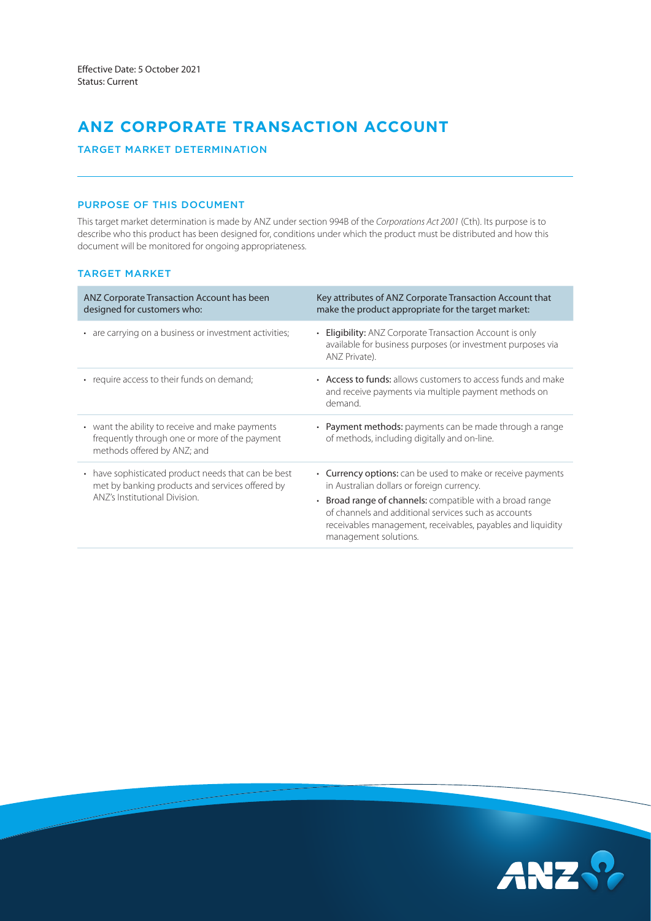# **ANZ CORPORATE TRANSACTION ACCOUNT**

TARGET MARKET DETERMINATION

# PURPOSE OF THIS DOCUMENT

This target market determination is made by ANZ under section 994B of the *Corporations Act 2001* (Cth). Its purpose is to describe who this product has been designed for, conditions under which the product must be distributed and how this document will be monitored for ongoing appropriateness.

## TARGET MARKET

| ANZ Corporate Transaction Account has been<br>designed for customers who:                                                                          | Key attributes of ANZ Corporate Transaction Account that<br>make the product appropriate for the target market:                                                                                                                                                                                                       |
|----------------------------------------------------------------------------------------------------------------------------------------------------|-----------------------------------------------------------------------------------------------------------------------------------------------------------------------------------------------------------------------------------------------------------------------------------------------------------------------|
| • are carrying on a business or investment activities;                                                                                             | • Eligibility: ANZ Corporate Transaction Account is only<br>available for business purposes (or investment purposes via<br>ANZ Private).                                                                                                                                                                              |
| • require access to their funds on demand;                                                                                                         | • Access to funds: allows customers to access funds and make<br>and receive payments via multiple payment methods on<br>demand.                                                                                                                                                                                       |
| • want the ability to receive and make payments<br>frequently through one or more of the payment<br>methods offered by ANZ; and                    | • Payment methods: payments can be made through a range<br>of methods, including digitally and on-line.                                                                                                                                                                                                               |
| have sophisticated product needs that can be best<br>$\bullet$<br>met by banking products and services offered by<br>ANZ's Institutional Division. | • Currency options: can be used to make or receive payments<br>in Australian dollars or foreign currency.<br>• Broad range of channels: compatible with a broad range<br>of channels and additional services such as accounts<br>receivables management, receivables, payables and liquidity<br>management solutions. |

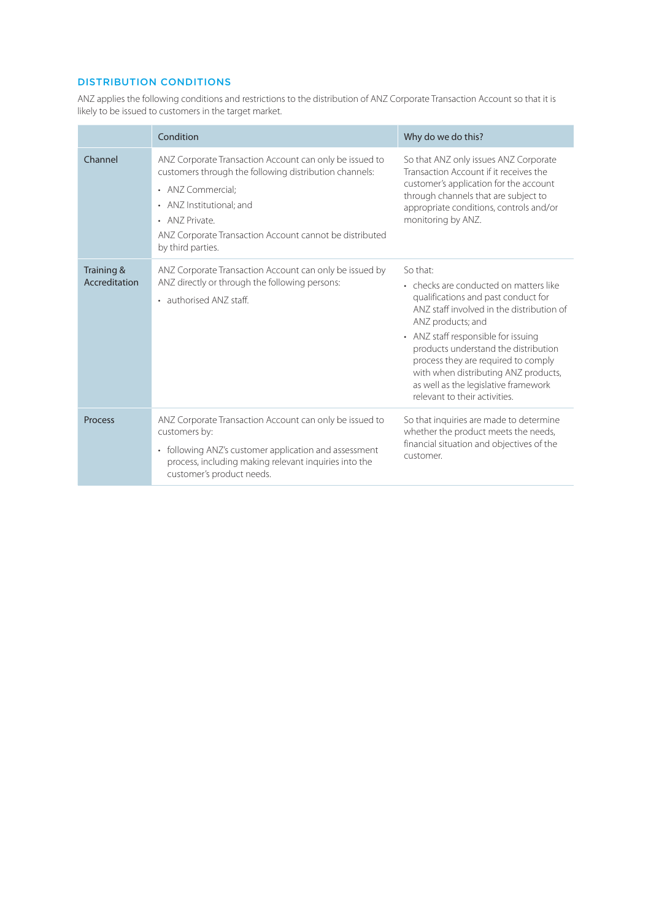# DISTRIBUTION CONDITIONS

ANZ applies the following conditions and restrictions to the distribution of ANZ Corporate Transaction Account so that it is likely to be issued to customers in the target market.

|                             | Condition                                                                                                                                                                                                                                                            | Why do we do this?                                                                                                                                                                                                                                                                                                                                                                                 |
|-----------------------------|----------------------------------------------------------------------------------------------------------------------------------------------------------------------------------------------------------------------------------------------------------------------|----------------------------------------------------------------------------------------------------------------------------------------------------------------------------------------------------------------------------------------------------------------------------------------------------------------------------------------------------------------------------------------------------|
| Channel                     | ANZ Corporate Transaction Account can only be issued to<br>customers through the following distribution channels:<br>• ANZ Commercial:<br>• ANZ Institutional; and<br>• ANZ Private.<br>ANZ Corporate Transaction Account cannot be distributed<br>by third parties. | So that ANZ only issues ANZ Corporate<br>Transaction Account if it receives the<br>customer's application for the account<br>through channels that are subject to<br>appropriate conditions, controls and/or<br>monitoring by ANZ.                                                                                                                                                                 |
| Training &<br>Accreditation | ANZ Corporate Transaction Account can only be issued by<br>ANZ directly or through the following persons:<br>• authorised ANZ staff.                                                                                                                                 | So that:<br>• checks are conducted on matters like<br>qualifications and past conduct for<br>ANZ staff involved in the distribution of<br>ANZ products; and<br>• ANZ staff responsible for issuing<br>products understand the distribution<br>process they are required to comply<br>with when distributing ANZ products,<br>as well as the legislative framework<br>relevant to their activities. |
| Process                     | ANZ Corporate Transaction Account can only be issued to<br>customers by:<br>following ANZ's customer application and assessment<br>$\bullet$<br>process, including making relevant inquiries into the<br>customer's product needs.                                   | So that inquiries are made to determine<br>whether the product meets the needs,<br>financial situation and objectives of the<br>customer.                                                                                                                                                                                                                                                          |